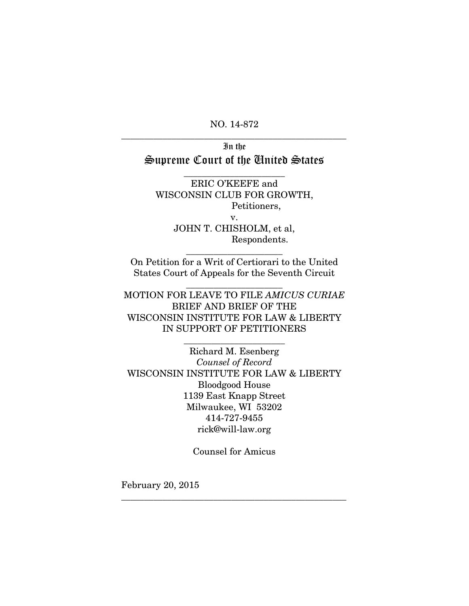NO. 14-872 \_\_\_\_\_\_\_\_\_\_\_\_\_\_\_\_\_\_\_\_\_\_\_\_\_\_\_\_\_\_\_\_\_\_\_\_\_\_\_\_\_\_\_\_\_\_\_\_\_

# In the Supreme Court of the United States

 $\overline{\phantom{a}}$  , where  $\overline{\phantom{a}}$  , where  $\overline{\phantom{a}}$  , where  $\overline{\phantom{a}}$ 

ERIC O'KEEFE and WISCONSIN CLUB FOR GROWTH, Petitioners, v. JOHN T. CHISHOLM, et al, Respondents.

On Petition for a Writ of Certiorari to the United States Court of Appeals for the Seventh Circuit

\_\_\_\_\_\_\_\_\_\_\_\_\_\_\_\_\_\_\_\_\_

\_\_\_\_\_\_\_\_\_\_\_\_\_\_\_\_\_\_\_\_\_

MOTION FOR LEAVE TO FILE *AMICUS CURIAE* BRIEF AND BRIEF OF THE WISCONSIN INSTITUTE FOR LAW & LIBERTY IN SUPPORT OF PETITIONERS

\_\_\_\_\_\_\_\_\_\_\_\_\_\_\_\_\_\_\_\_\_\_

Richard M. Esenberg *Counsel of Record* WISCONSIN INSTITUTE FOR LAW & LIBERTY Bloodgood House 1139 East Knapp Street Milwaukee, WI 53202 414-727-9455 [rick@will-law.org](mailto:rick@will-law.org)

Counsel for Amicus

\_\_\_\_\_\_\_\_\_\_\_\_\_\_\_\_\_\_\_\_\_\_\_\_\_\_\_\_\_\_\_\_\_\_\_\_\_\_\_\_\_\_\_\_\_\_\_\_\_

February 20, 2015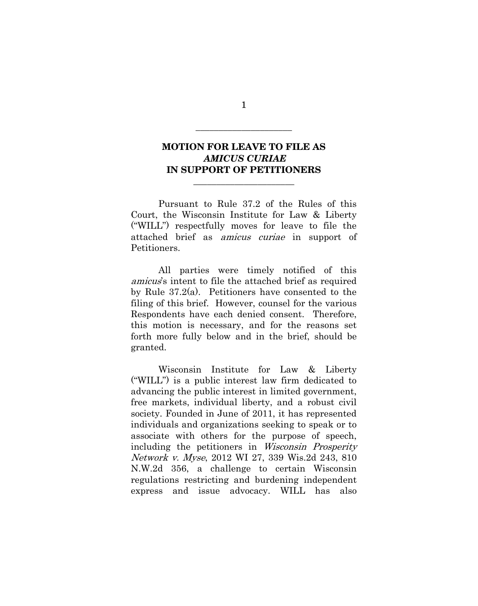# **MOTION FOR LEAVE TO FILE AS** *AMICUS CURIAE* **IN SUPPORT OF PETITIONERS**

\_\_\_\_\_\_\_\_\_\_\_\_\_\_\_\_\_\_\_\_\_\_

Pursuant to Rule 37.2 of the Rules of this Court, the Wisconsin Institute for Law & Liberty ("WILL") respectfully moves for leave to file the attached brief as amicus curiae in support of Petitioners.

All parties were timely notified of this amicus's intent to file the attached brief as required by Rule 37.2(a). Petitioners have consented to the filing of this brief. However, counsel for the various Respondents have each denied consent. Therefore, this motion is necessary, and for the reasons set forth more fully below and in the brief, should be granted.

Wisconsin Institute for Law & Liberty ("WILL") is a public interest law firm dedicated to advancing the public interest in limited government, free markets, individual liberty, and a robust civil society. Founded in June of 2011, it has represented individuals and organizations seeking to speak or to associate with others for the purpose of speech, including the petitioners in Wisconsin Prosperity Network v. Myse, 2012 WI 27, 339 Wis.2d 243, 810 N.W.2d 356, a challenge to certain Wisconsin regulations restricting and burdening independent express and issue advocacy. WILL has also

1

\_\_\_\_\_\_\_\_\_\_\_\_\_\_\_\_\_\_\_\_\_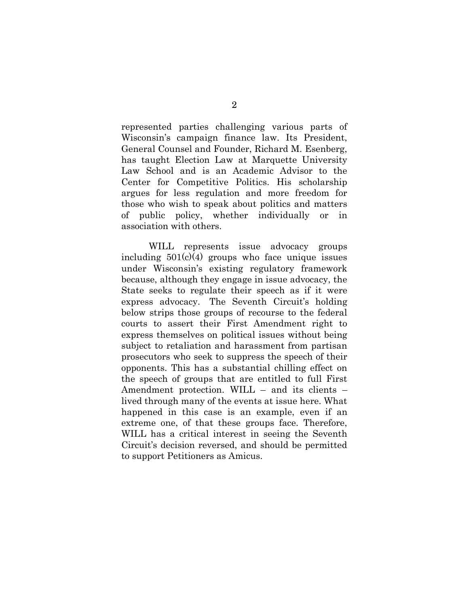represented parties challenging various parts of Wisconsin's campaign finance law. Its President, General Counsel and Founder, Richard M. Esenberg, has taught Election Law at Marquette University Law School and is an Academic Advisor to the Center for Competitive Politics. His scholarship argues for less regulation and more freedom for those who wish to speak about politics and matters of public policy, whether individually or in association with others.

WILL represents issue advocacy groups including  $501(c)(4)$  groups who face unique issues under Wisconsin's existing regulatory framework because, although they engage in issue advocacy, the State seeks to regulate their speech as if it were express advocacy. The Seventh Circuit's holding below strips those groups of recourse to the federal courts to assert their First Amendment right to express themselves on political issues without being subject to retaliation and harassment from partisan prosecutors who seek to suppress the speech of their opponents. This has a substantial chilling effect on the speech of groups that are entitled to full First Amendment protection. WILL – and its clients – lived through many of the events at issue here. What happened in this case is an example, even if an extreme one, of that these groups face. Therefore, WILL has a critical interest in seeing the Seventh Circuit's decision reversed, and should be permitted to support Petitioners as Amicus.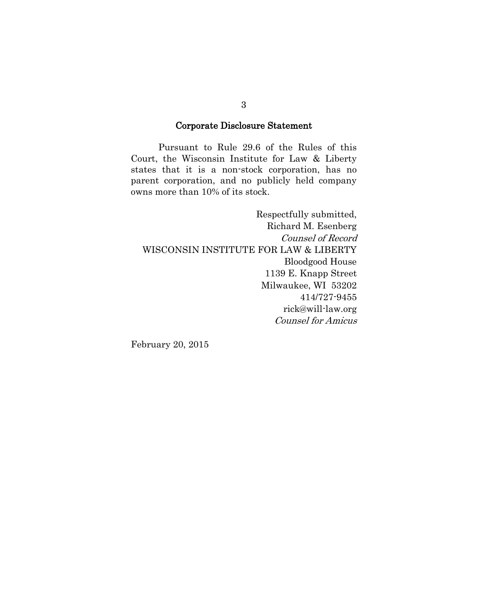## Corporate Disclosure Statement

Pursuant to Rule 29.6 of the Rules of this Court, the Wisconsin Institute for Law & Liberty states that it is a non-stock corporation, has no parent corporation, and no publicly held company owns more than 10% of its stock.

Respectfully submitted, Richard M. Esenberg Counsel of Record WISCONSIN INSTITUTE FOR LAW & LIBERTY Bloodgood House 1139 E. Knapp Street Milwaukee, WI 53202 414/727-9455 rick@will-law.org Counsel for Amicus

February 20, 2015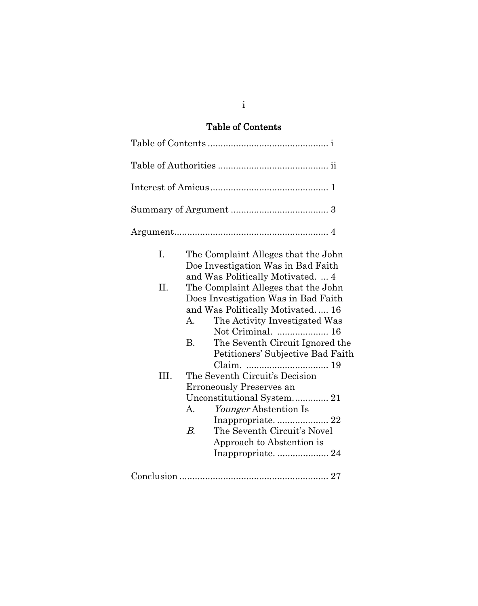# Table of Contents

| $\mathbf{I}$ . | The Complaint Alleges that the John<br>Doe Investigation Was in Bad Faith                                                           |  |
|----------------|-------------------------------------------------------------------------------------------------------------------------------------|--|
| II.            | and Was Politically Motivated4<br>The Complaint Alleges that the John                                                               |  |
|                | Does Investigation Was in Bad Faith<br>and Was Politically Motivated 16<br>А.<br>The Activity Investigated Was<br>Not Criminal.  16 |  |
|                | <b>B.</b><br>The Seventh Circuit Ignored the<br>Petitioners' Subjective Bad Faith                                                   |  |
| III.           | The Seventh Circuit's Decision                                                                                                      |  |
|                | Erroneously Preserves an                                                                                                            |  |
|                | Unconstitutional System 21                                                                                                          |  |
|                | <i>Younger</i> Abstention Is<br>А.                                                                                                  |  |
|                |                                                                                                                                     |  |
|                | The Seventh Circuit's Novel<br>$B_{\cdot}$                                                                                          |  |
|                | Approach to Abstention is                                                                                                           |  |
|                |                                                                                                                                     |  |
|                |                                                                                                                                     |  |

i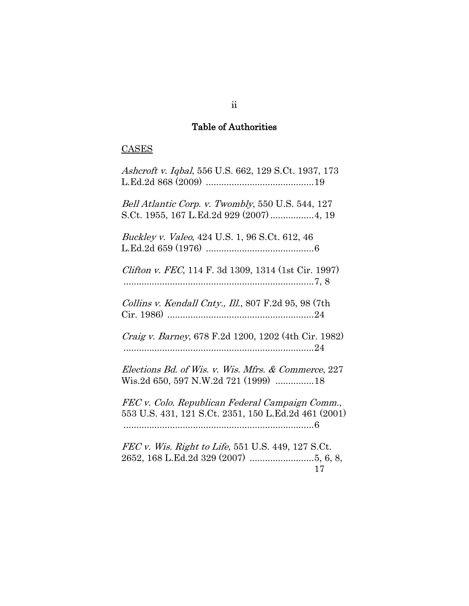# Table of Authorities

# **CASES**

| Ashcroft v. Iqbal, 556 U.S. 662, 129 S.Ct. 1937, 173                                                    |
|---------------------------------------------------------------------------------------------------------|
| Bell Atlantic Corp. v. Twombly, 550 U.S. 544, 127<br>S.Ct. 1955, 167 L.Ed.2d 929 (2007)  4, 19          |
| Buckley v. Valeo, 424 U.S. 1, 96 S.Ct. 612, 46                                                          |
| <i>Clifton v. FEC</i> , 114 F. 3d 1309, 1314 (1st Cir. 1997)                                            |
| Collins v. Kendall Cnty., Ill., 807 F.2d 95, 98 (7th                                                    |
| Craig v. Barney, 678 F.2d 1200, 1202 (4th Cir. 1982)                                                    |
| Elections Bd. of Wis. v. Wis. Mfrs. & Commerce, 227<br>Wis.2d 650, 597 N.W.2d 721 (1999) 18             |
| FEC v. Colo. Republican Federal Campaign Comm.,<br>553 U.S. 431, 121 S.Ct. 2351, 150 L.Ed.2d 461 (2001) |
| <i>FEC v. Wis. Right to Life,</i> 551 U.S. 449, 127 S.Ct.<br>17                                         |

ii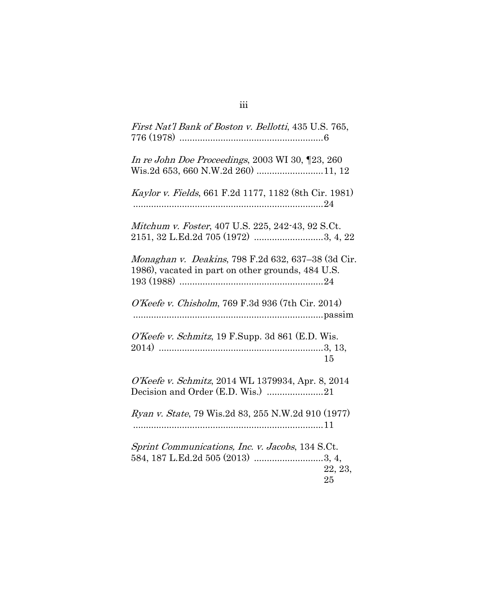| First Nat'l Bank of Boston v. Bellotti, 435 U.S. 765,                                                   |               |
|---------------------------------------------------------------------------------------------------------|---------------|
| In re John Doe Proceedings, 2003 WI 30, [23, 260<br>Wis.2d 653, 660 N.W.2d 260) 11, 12                  |               |
| Kaylor v. Fields, 661 F.2d 1177, 1182 (8th Cir. 1981)                                                   |               |
| Mitchum v. Foster, 407 U.S. 225, 242-43, 92 S.Ct.<br>2151, 32 L.Ed.2d 705 (1972) 3, 4, 22               |               |
| Monaghan v. Deakins, 798 F.2d 632, 637–38 (3d Cir.<br>1986), vacated in part on other grounds, 484 U.S. |               |
| O'Keefe v. Chisholm, 769 F.3d 936 (7th Cir. 2014)                                                       |               |
| O'Keefe v. Schmitz, 19 F.Supp. 3d 861 (E.D. Wis.                                                        | 15            |
| O'Keefe v. Schmitz, 2014 WL 1379934, Apr. 8, 2014<br>Decision and Order (E.D. Wis.) 21                  |               |
| Ryan v. State, 79 Wis.2d 83, 255 N.W.2d 910 (1977)                                                      |               |
| Sprint Communications, Inc. v. Jacobs, 134 S.Ct.                                                        | 22, 23,<br>25 |

# iii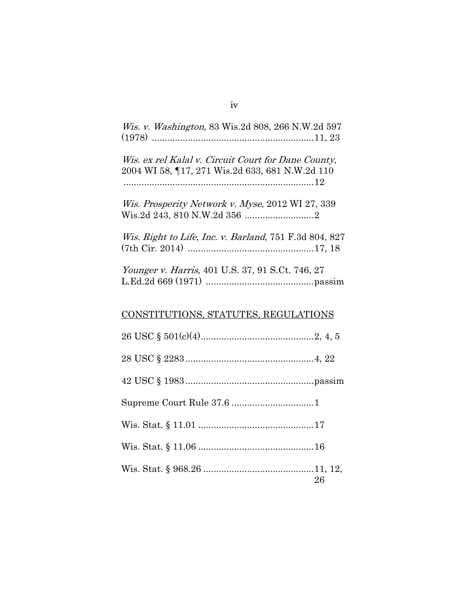| <i>Wis. v. Washington, 83 Wis.2d 808, 266 N.W.2d 597</i>                                              |
|-------------------------------------------------------------------------------------------------------|
| Wis. ex rel Kalal v. Circuit Court for Dane County,<br>2004 WI 58, 17, 271 Wis.2d 633, 681 N.W.2d 110 |
| Wis. Prosperity Network v. Myse, 2012 WI 27, 339                                                      |
| Wis. Right to Life, Inc. v. Barland, 751 F.3d 804, 827                                                |
| Younger v. Harris, 401 U.S. 37, 91 S.Ct. 746, 27                                                      |
| CONSTITUTIONS, STATUTES, REGULATIONS                                                                  |
|                                                                                                       |
|                                                                                                       |
|                                                                                                       |
|                                                                                                       |
|                                                                                                       |
|                                                                                                       |
| 26                                                                                                    |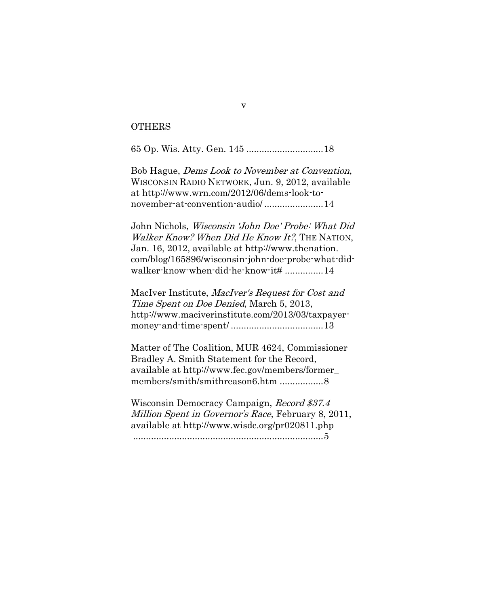## OTHERS

65 Op. Wis. Atty. Gen. 145 ..............................18

Bob Hague, Dems Look to November at Convention, WISCONSIN RADIO NETWORK, Jun. 9, 2012, available at http://www.wrn.com/2012/06/dems-look-tonovember-at-convention-audio/ .......................14

John Nichols, Wisconsin 'John Doe' Probe: What Did Walker Know? When Did He Know It?, THE NATION, Jan. 16, 2012, available at http://www.thenation. com/blog/165896/wisconsin-john-doe-probe-what-didwalker-know-when-did-he-know-it# ...............14

MacIver Institute, MacIver's Request for Cost and Time Spent on Doe Denied, March 5, 2013, http://www.maciverinstitute.com/2013/03/taxpayermoney-and-time-spent/ ....................................13

Matter of The Coalition, MUR 4624, Commissioner Bradley A. Smith Statement for the Record, available at http://www.fec.gov/members/former\_ members/smith/smithreason6.htm .....................8

Wisconsin Democracy Campaign, Record \$37.4 Million Spent in Governor's Race, February 8, 2011, available at http://www.wisdc.org/pr020811.php ..........................................................................5

v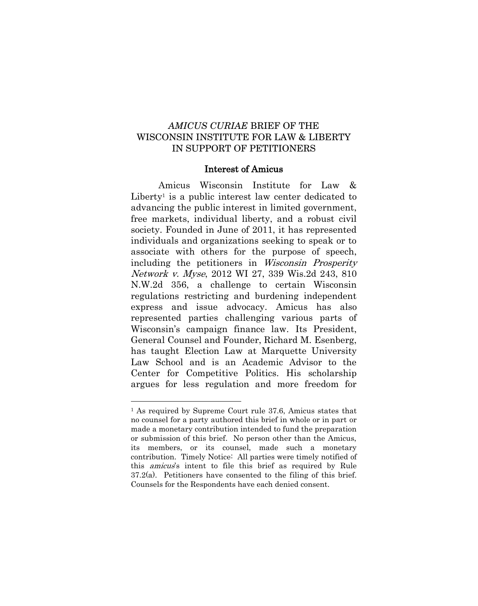# *AMICUS CURIAE* BRIEF OF THE WISCONSIN INSTITUTE FOR LAW & LIBERTY IN SUPPORT OF PETITIONERS

## Interest of Amicus

Amicus Wisconsin Institute for Law & Liberty<sup>1</sup> is a public interest law center dedicated to advancing the public interest in limited government, free markets, individual liberty, and a robust civil society. Founded in June of 2011, it has represented individuals and organizations seeking to speak or to associate with others for the purpose of speech, including the petitioners in Wisconsin Prosperity Network v. Myse, 2012 WI 27, 339 Wis.2d 243, 810 N.W.2d 356, a challenge to certain Wisconsin regulations restricting and burdening independent express and issue advocacy. Amicus has also represented parties challenging various parts of Wisconsin's campaign finance law. Its President, General Counsel and Founder, Richard M. Esenberg, has taught Election Law at Marquette University Law School and is an Academic Advisor to the Center for Competitive Politics. His scholarship argues for less regulation and more freedom for

1

<sup>&</sup>lt;sup>1</sup> As required by Supreme Court rule 37.6, Amicus states that no counsel for a party authored this brief in whole or in part or made a monetary contribution intended to fund the preparation or submission of this brief. No person other than the Amicus, its members, or its counsel, made such a monetary contribution. Timely Notice: All parties were timely notified of this amicus's intent to file this brief as required by Rule 37.2(a). Petitioners have consented to the filing of this brief. Counsels for the Respondents have each denied consent.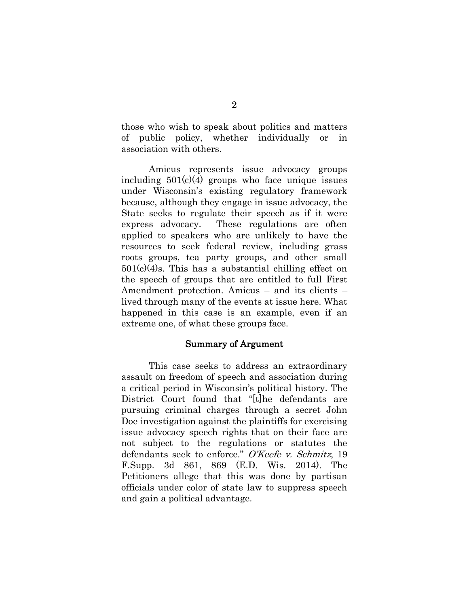those who wish to speak about politics and matters of public policy, whether individually or in association with others.

Amicus represents issue advocacy groups including  $501(c)(4)$  groups who face unique issues under Wisconsin's existing regulatory framework because, although they engage in issue advocacy, the State seeks to regulate their speech as if it were express advocacy. These regulations are often applied to speakers who are unlikely to have the resources to seek federal review, including grass roots groups, tea party groups, and other small  $501(c)(4)$ s. This has a substantial chilling effect on the speech of groups that are entitled to full First Amendment protection. Amicus – and its clients – lived through many of the events at issue here. What happened in this case is an example, even if an extreme one, of what these groups face.

## Summary of Argument

This case seeks to address an extraordinary assault on freedom of speech and association during a critical period in Wisconsin's political history. The District Court found that "[t]he defendants are pursuing criminal charges through a secret John Doe investigation against the plaintiffs for exercising issue advocacy speech rights that on their face are not subject to the regulations or statutes the defendants seek to enforce." O'Keefe v. Schmitz, 19 F.Supp. 3d 861, 869 (E.D. Wis. 2014). The Petitioners allege that this was done by partisan officials under color of state law to suppress speech and gain a political advantage.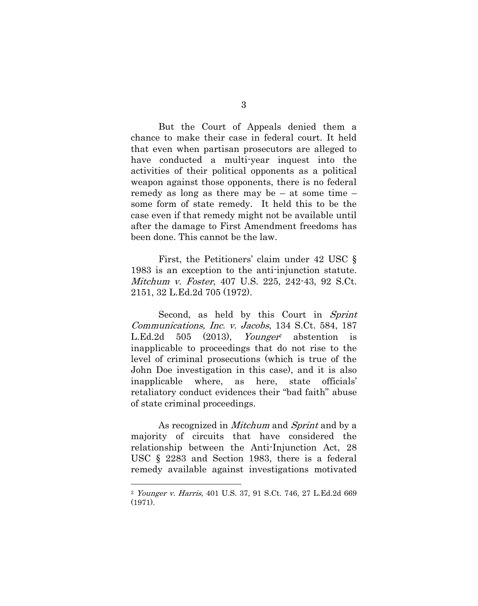But the Court of Appeals denied them a chance to make their case in federal court. It held that even when partisan prosecutors are alleged to have conducted a multi-year inquest into the activities of their political opponents as a political weapon against those opponents, there is no federal remedy as long as there may be – at some time – some form of state remedy. It held this to be the case even if that remedy might not be available until after the damage to First Amendment freedoms has been done. This cannot be the law.

First, the Petitioners' claim under 42 USC § 1983 is an exception to the anti-injunction statute. Mitchum v. Foster, 407 U.S. 225, 242-43, 92 S.Ct. 2151, 32 L.Ed.2d 705 (1972).

Second, as held by this Court in Sprint Communications, Inc. v. Jacobs, 134 S.Ct. 584, 187 L.Ed.2d 505 (2013), *Younger <sup>2</sup>* abstention is inapplicable to proceedings that do not rise to the level of criminal prosecutions (which is true of the John Doe investigation in this case), and it is also inapplicable where, as here, state officials' retaliatory conduct evidences their "bad faith" abuse of state criminal proceedings.

As recognized in *Mitchum* and *Sprint* and by a majority of circuits that have considered the relationship between the Anti-Injunction Act, 28 USC § 2283 and Section 1983, there is a federal remedy available against investigations motivated

1

<sup>2</sup> Younger v. Harris, 401 U.S. 37, 91 S.Ct. 746, 27 L.Ed.2d 669 (1971).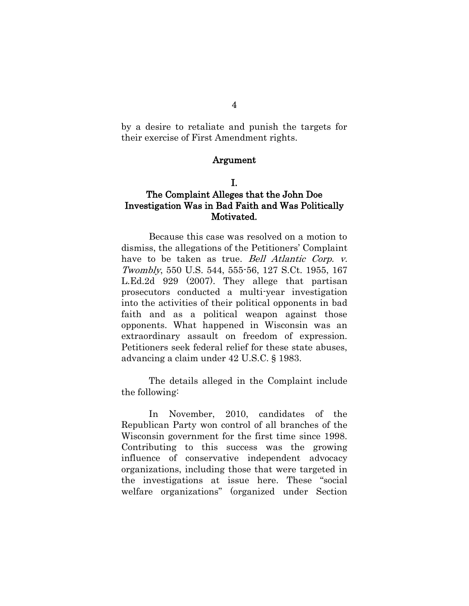by a desire to retaliate and punish the targets for their exercise of First Amendment rights.

## Argument

## I.

# The Complaint Alleges that the John Doe Investigation Was in Bad Faith and Was Politically Motivated.

Because this case was resolved on a motion to dismiss, the allegations of the Petitioners' Complaint have to be taken as true. *Bell Atlantic Corp. v.* Twombly, 550 U.S. 544, 555-56, 127 S.Ct. 1955, 167 L.Ed.2d 929 (2007). They allege that partisan prosecutors conducted a multi-year investigation into the activities of their political opponents in bad faith and as a political weapon against those opponents. What happened in Wisconsin was an extraordinary assault on freedom of expression. Petitioners seek federal relief for these state abuses, advancing a claim under 42 U.S.C. § 1983.

The details alleged in the Complaint include the following:

In November, 2010, candidates of the Republican Party won control of all branches of the Wisconsin government for the first time since 1998. Contributing to this success was the growing influence of conservative independent advocacy organizations, including those that were targeted in the investigations at issue here. These "social welfare organizations" (organized under Section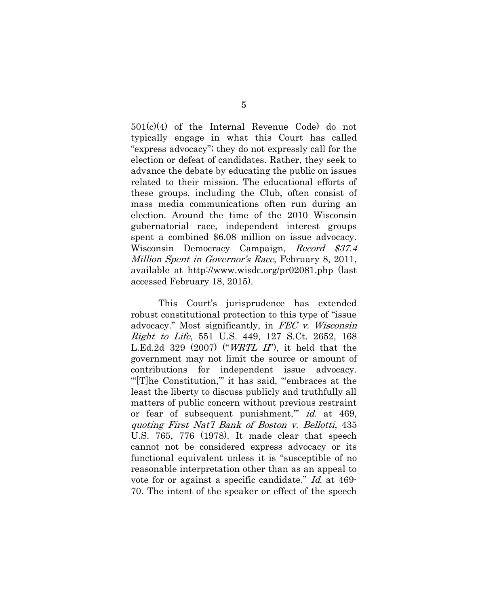501(c)(4) of the Internal Revenue Code) do not typically engage in what this Court has called "express advocacy"; they do not expressly call for the election or defeat of candidates. Rather, they seek to advance the debate by educating the public on issues related to their mission. The educational efforts of these groups, including the Club, often consist of mass media communications often run during an election. Around the time of the 2010 Wisconsin gubernatorial race, independent interest groups spent a combined \$6.08 million on issue advocacy. Wisconsin Democracy Campaign, Record \$37.4 Million Spent in Governor's Race, February 8, 2011, available at http://www.wisdc.org/pr02081.php (last accessed February 18, 2015).

This Court's jurisprudence has extended robust constitutional protection to this type of "issue advocacy." Most significantly, in FEC v. Wisconsin Right to Life, 551 U.S. 449, 127 S.Ct. 2652, 168 L.Ed.2d 329 (2007) ("WRTL II"), it held that the government may not limit the source or amount of contributions for independent issue advocacy. "[T]he Constitution," it has said, ""embraces at the least the liberty to discuss publicly and truthfully all matters of public concern without previous restraint or fear of subsequent punishment," id. at 469, quoting First Nat'l Bank of Boston v. Bellotti, 435 U.S. 765, 776 (1978). It made clear that speech cannot not be considered express advocacy or its functional equivalent unless it is "susceptible of no reasonable interpretation other than as an appeal to vote for or against a specific candidate." Id. at 469- 70. The intent of the speaker or effect of the speech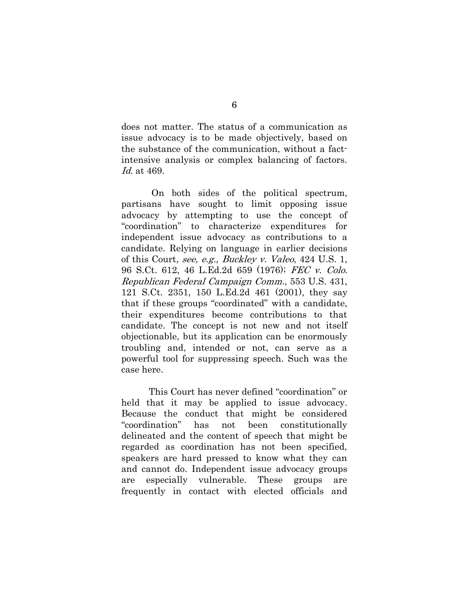does not matter. The status of a communication as issue advocacy is to be made objectively, based on the substance of the communication, without a factintensive analysis or complex balancing of factors. Id. at 469.

On both sides of the political spectrum, partisans have sought to limit opposing issue advocacy by attempting to use the concept of "coordination" to characterize expenditures for independent issue advocacy as contributions to a candidate. Relying on language in earlier decisions of this Court, see, e.g., Buckley v. Valeo, 424 U.S. 1, 96 S.Ct. 612, 46 L.Ed.2d 659 (1976); FEC v. Colo. Republican Federal Campaign Comm., 553 U.S. 431, 121 S.Ct. 2351, 150 L.Ed.2d 461 (2001), they say that if these groups "coordinated" with a candidate, their expenditures become contributions to that candidate. The concept is not new and not itself objectionable, but its application can be enormously troubling and, intended or not, can serve as a powerful tool for suppressing speech. Such was the case here.

This Court has never defined "coordination" or held that it may be applied to issue advocacy. Because the conduct that might be considered "coordination" has not been constitutionally delineated and the content of speech that might be regarded as coordination has not been specified, speakers are hard pressed to know what they can and cannot do. Independent issue advocacy groups are especially vulnerable. These groups are frequently in contact with elected officials and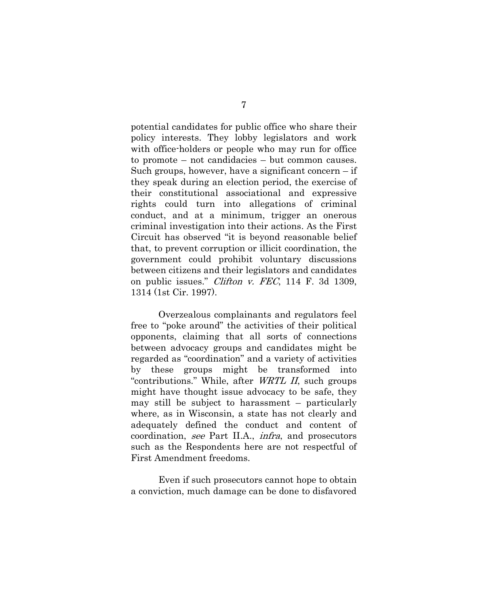potential candidates for public office who share their policy interests. They lobby legislators and work with office-holders or people who may run for office to promote – not candidacies – but common causes. Such groups, however, have a significant concern – if they speak during an election period, the exercise of their constitutional associational and expressive rights could turn into allegations of criminal conduct, and at a minimum, trigger an onerous criminal investigation into their actions. As the First Circuit has observed "it is beyond reasonable belief that, to prevent corruption or illicit coordination, the government could prohibit voluntary discussions between citizens and their legislators and candidates on public issues." *Clifton v. FEC*, 114 F. 3d 1309, 1314 (1st Cir. 1997).

Overzealous complainants and regulators feel free to "poke around" the activities of their political opponents, claiming that all sorts of connections between advocacy groups and candidates might be regarded as "coordination" and a variety of activities by these groups might be transformed into "contributions." While, after WRTL II, such groups might have thought issue advocacy to be safe, they may still be subject to harassment – particularly where, as in Wisconsin, a state has not clearly and adequately defined the conduct and content of coordination, see Part II.A., infra, and prosecutors such as the Respondents here are not respectful of First Amendment freedoms.

Even if such prosecutors cannot hope to obtain a conviction, much damage can be done to disfavored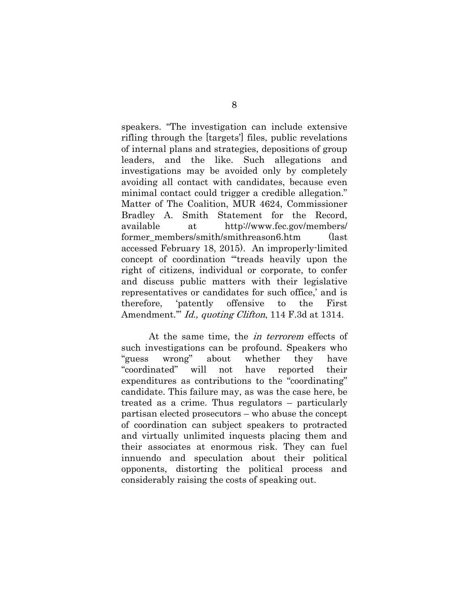speakers. "The investigation can include extensive rifling through the [targets'] files, public revelations of internal plans and strategies, depositions of group leaders, and the like. Such allegations and investigations may be avoided only by completely avoiding all contact with candidates, because even minimal contact could trigger a credible allegation." Matter of The Coalition, MUR 4624, Commissioner Bradley A. Smith Statement for the Record, available at http://www.fec.gov/members/ former members/smith/smithreason6.htm (last accessed February 18, 2015). An improperly-limited concept of coordination "'treads heavily upon the right of citizens, individual or corporate, to confer and discuss public matters with their legislative representatives or candidates for such office,' and is therefore, 'patently offensive to the First Amendment." *Id., quoting Clifton*, 114 F.3d at 1314.

At the same time, the in terrorem effects of such investigations can be profound. Speakers who "guess wrong" about whether they have "coordinated" will not have reported their expenditures as contributions to the "coordinating" candidate. This failure may, as was the case here, be treated as a crime. Thus regulators – particularly partisan elected prosecutors – who abuse the concept of coordination can subject speakers to protracted and virtually unlimited inquests placing them and their associates at enormous risk. They can fuel innuendo and speculation about their political opponents, distorting the political process and considerably raising the costs of speaking out.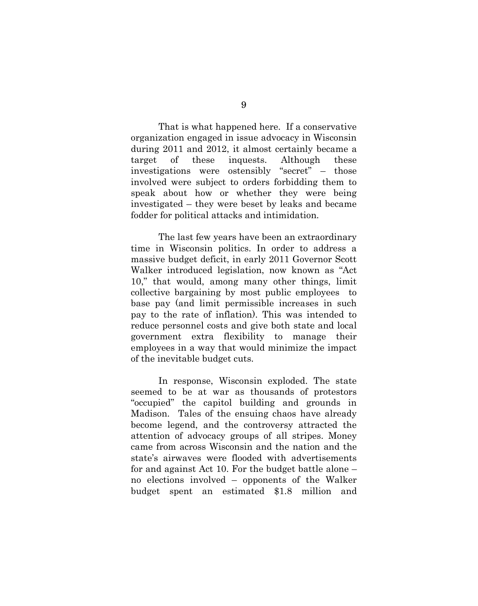That is what happened here. If a conservative organization engaged in issue advocacy in Wisconsin during 2011 and 2012, it almost certainly became a target of these inquests. Although these investigations were ostensibly "secret" – those involved were subject to orders forbidding them to speak about how or whether they were being investigated – they were beset by leaks and became fodder for political attacks and intimidation.

The last few years have been an extraordinary time in Wisconsin politics. In order to address a massive budget deficit, in early 2011 Governor Scott Walker introduced legislation, now known as "Act 10," that would, among many other things, limit collective bargaining by most public employees to base pay (and limit permissible increases in such pay to the rate of inflation). This was intended to reduce personnel costs and give both state and local government extra flexibility to manage their employees in a way that would minimize the impact of the inevitable budget cuts.

In response, Wisconsin exploded. The state seemed to be at war as thousands of protestors "occupied" the capitol building and grounds in Madison. Tales of the ensuing chaos have already become legend, and the controversy attracted the attention of advocacy groups of all stripes. Money came from across Wisconsin and the nation and the state's airwaves were flooded with advertisements for and against Act 10. For the budget battle alone – no elections involved – opponents of the Walker budget spent an estimated \$1.8 million and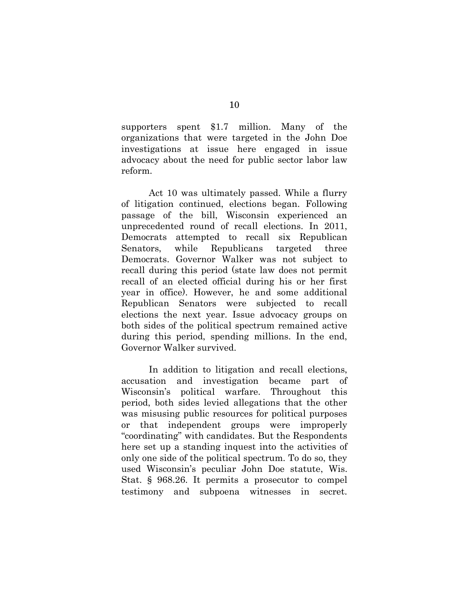supporters spent \$1.7 million. Many of the organizations that were targeted in the John Doe investigations at issue here engaged in issue advocacy about the need for public sector labor law reform.

Act 10 was ultimately passed. While a flurry of litigation continued, elections began. Following passage of the bill, Wisconsin experienced an unprecedented round of recall elections. In 2011, Democrats attempted to recall six Republican Senators, while Republicans targeted three Democrats. Governor Walker was not subject to recall during this period (state law does not permit recall of an elected official during his or her first year in office). However, he and some additional Republican Senators were subjected to recall elections the next year. Issue advocacy groups on both sides of the political spectrum remained active during this period, spending millions. In the end, Governor Walker survived.

In addition to litigation and recall elections, accusation and investigation became part of Wisconsin's political warfare. Throughout this period, both sides levied allegations that the other was misusing public resources for political purposes or that independent groups were improperly "coordinating" with candidates. But the Respondents here set up a standing inquest into the activities of only one side of the political spectrum. To do so, they used Wisconsin's peculiar John Doe statute, Wis. Stat. § 968.26. It permits a prosecutor to compel testimony and subpoena witnesses in secret.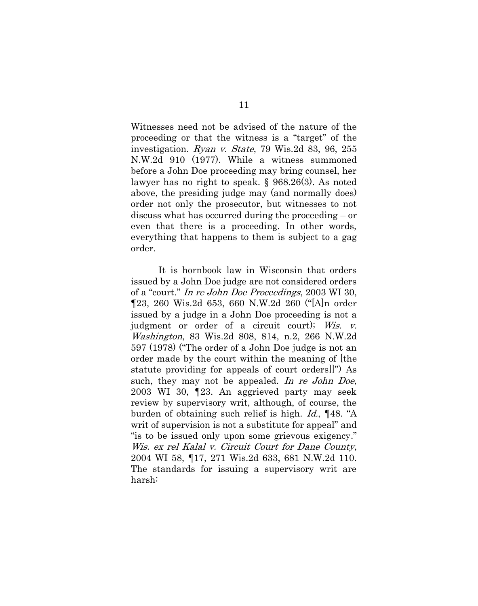Witnesses need not be advised of the nature of the proceeding or that the witness is a "target" of the investigation. Ryan v. State, 79 Wis.2d 83, 96, 255 N.W.2d 910 (1977). While a witness summoned before a John Doe proceeding may bring counsel, her lawyer has no right to speak. § 968.26(3). As noted above, the presiding judge may (and normally does) order not only the prosecutor, but witnesses to not discuss what has occurred during the proceeding – or even that there is a proceeding. In other words, everything that happens to them is subject to a gag order.

It is hornbook law in Wisconsin that orders issued by a John Doe judge are not considered orders of a "court." In re John Doe Proceedings, 2003 WI 30, ¶23, 260 Wis.2d 653, 660 N.W.2d 260 ("[A]n order issued by a judge in a John Doe proceeding is not a judgment or order of a circuit court); Wis. v. Washington, 83 Wis.2d 808, 814, n.2, 266 N.W.2d 597 (1978) ("The order of a John Doe judge is not an order made by the court within the meaning of [the statute providing for appeals of court orders]]") As such, they may not be appealed. In re John Doe, 2003 WI 30, ¶23. An aggrieved party may seek review by supervisory writ, although, of course, the burden of obtaining such relief is high. Id., ¶48. "A writ of supervision is not a substitute for appeal" and "is to be issued only upon some grievous exigency." Wis. ex rel Kalal v. Circuit Court for Dane County, 2004 WI 58, ¶17, 271 Wis.2d 633, 681 N.W.2d 110. The standards for issuing a supervisory writ are harsh: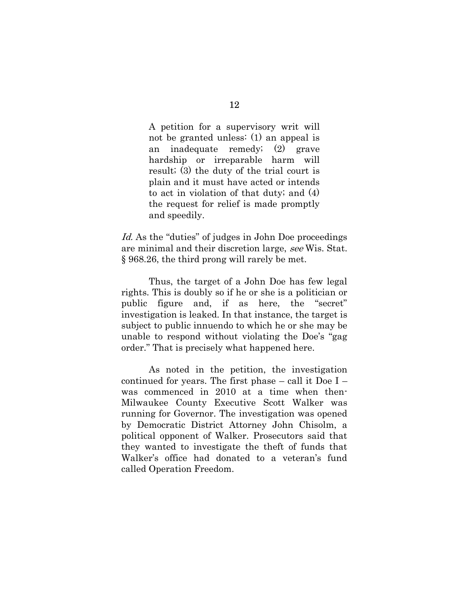A petition for a supervisory writ will not be granted unless: (1) an appeal is an inadequate remedy; (2) grave hardship or irreparable harm will result; (3) the duty of the trial court is plain and it must have acted or intends to act in violation of that duty; and (4) the request for relief is made promptly and speedily.

Id. As the "duties" of judges in John Doe proceedings are minimal and their discretion large, see Wis. Stat. § 968.26, the third prong will rarely be met.

Thus, the target of a John Doe has few legal rights. This is doubly so if he or she is a politician or public figure and, if as here, the "secret" investigation is leaked. In that instance, the target is subject to public innuendo to which he or she may be unable to respond without violating the Doe's "gag order." That is precisely what happened here.

As noted in the petition, the investigation continued for years. The first phase – call it Doe I – was commenced in 2010 at a time when then-Milwaukee County Executive Scott Walker was running for Governor. The investigation was opened by Democratic District Attorney John Chisolm, a political opponent of Walker. Prosecutors said that they wanted to investigate the theft of funds that Walker's office had donated to a veteran's fund called Operation Freedom.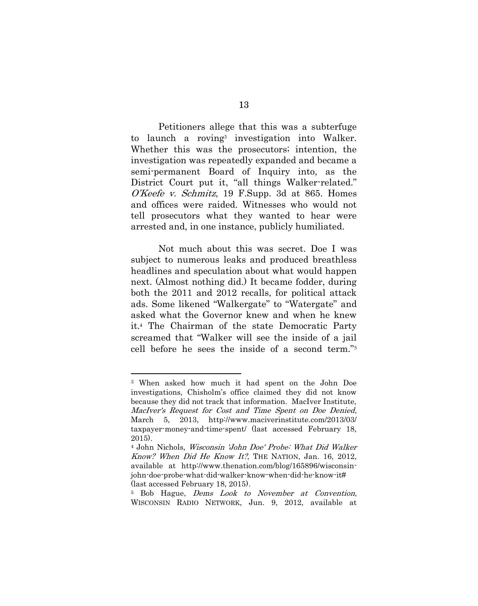Petitioners allege that this was a subterfuge to launch a roving<sup>3</sup> investigation into Walker. Whether this was the prosecutors; intention, the investigation was repeatedly expanded and became a semi-permanent Board of Inquiry into, as the District Court put it, "all things Walker-related." O'Keefe v. Schmitz, 19 F.Supp. 3d at 865. Homes and offices were raided. Witnesses who would not tell prosecutors what they wanted to hear were arrested and, in one instance, publicly humiliated.

Not much about this was secret. Doe I was subject to numerous leaks and produced breathless headlines and speculation about what would happen next. (Almost nothing did.) It became fodder, during both the 2011 and 2012 recalls, for political attack ads. Some likened "Walkergate" to "Watergate" and asked what the Governor knew and when he knew it.<sup>4</sup> The Chairman of the state Democratic Party screamed that "Walker will see the inside of a jail cell before he sees the inside of a second term."<sup>5</sup>

<u>.</u>

<sup>3</sup> When asked how much it had spent on the John Doe investigations, Chisholm's office claimed they did not know because they did not track that information. MacIver Institute, MacIver's Request for Cost and Time Spent on Doe Denied, March 5, 2013, http://www.maciverinstitute.com/2013/03/ taxpayer-money-and-time-spent/ (last accessed February 18, 2015).

<sup>4</sup> John Nichols, Wisconsin 'John Doe' Probe: What Did Walker Know? When Did He Know It?, THE NATION, Jan. 16, 2012, available at http://www.thenation.com/blog/165896/wisconsinjohn-doe-probe-what-did-walker-know-when-did-he-know-it# (last accessed February 18, 2015).

<sup>5</sup> Bob Hague, Dems Look to November at Convention, WISCONSIN RADIO NETWORK, Jun. 9, 2012, available at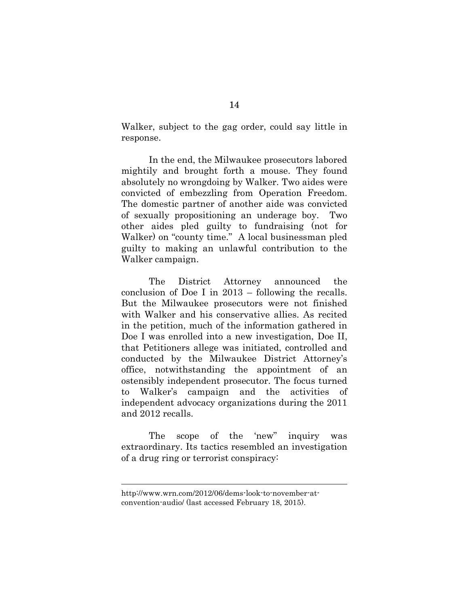Walker, subject to the gag order, could say little in response.

In the end, the Milwaukee prosecutors labored mightily and brought forth a mouse. They found absolutely no wrongdoing by Walker. Two aides were convicted of embezzling from Operation Freedom. The domestic partner of another aide was convicted of sexually propositioning an underage boy. Two other aides pled guilty to fundraising (not for Walker) on "county time." A local businessman pled guilty to making an unlawful contribution to the Walker campaign.

The District Attorney announced the conclusion of Doe I in 2013 – following the recalls. But the Milwaukee prosecutors were not finished with Walker and his conservative allies. As recited in the petition, much of the information gathered in Doe I was enrolled into a new investigation, Doe II, that Petitioners allege was initiated, controlled and conducted by the Milwaukee District Attorney's office, notwithstanding the appointment of an ostensibly independent prosecutor. The focus turned to Walker's campaign and the activities of independent advocacy organizations during the 2011 and 2012 recalls.

The scope of the 'new" inquiry was extraordinary. Its tactics resembled an investigation of a drug ring or terrorist conspiracy:

 $\overline{a}$ 

http://www.wrn.com/2012/06/dems-look-to-november-atconvention-audio/ (last accessed February 18, 2015).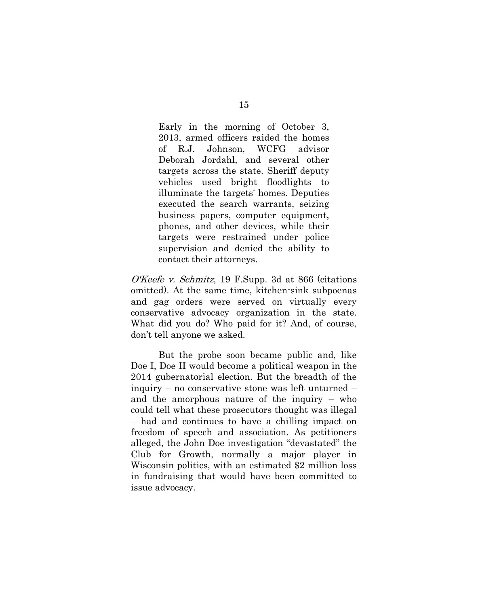Early in the morning of October 3, 2013, armed officers raided the homes of R.J. Johnson, WCFG advisor Deborah Jordahl, and several other targets across the state. Sheriff deputy vehicles used bright floodlights to illuminate the targets' homes. Deputies executed the search warrants, seizing business papers, computer equipment, phones, and other devices, while their targets were restrained under police supervision and denied the ability to contact their attorneys.

O'Keefe v. Schmitz, 19 F.Supp. 3d at 866 (citations omitted). At the same time, kitchen-sink subpoenas and gag orders were served on virtually every conservative advocacy organization in the state. What did you do? Who paid for it? And, of course, don't tell anyone we asked.

But the probe soon became public and, like Doe I, Doe II would become a political weapon in the 2014 gubernatorial election. But the breadth of the inquiry – no conservative stone was left unturned – and the amorphous nature of the inquiry – who could tell what these prosecutors thought was illegal – had and continues to have a chilling impact on freedom of speech and association. As petitioners alleged, the John Doe investigation "devastated" the Club for Growth, normally a major player in Wisconsin politics, with an estimated \$2 million loss in fundraising that would have been committed to issue advocacy.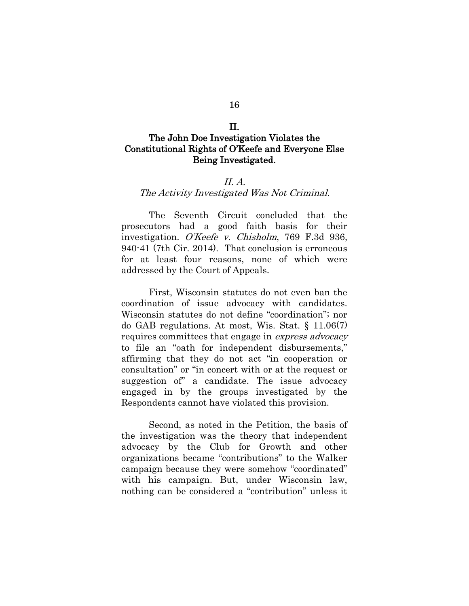#### II.

# The John Doe Investigation Violates the Constitutional Rights of O'Keefe and Everyone Else Being Investigated.

## II. A.

### The Activity Investigated Was Not Criminal.

The Seventh Circuit concluded that the prosecutors had a good faith basis for their investigation. O'Keefe v. Chisholm, 769 F.3d 936, 940-41 (7th Cir. 2014). That conclusion is erroneous for at least four reasons, none of which were addressed by the Court of Appeals.

First, Wisconsin statutes do not even ban the coordination of issue advocacy with candidates. Wisconsin statutes do not define "coordination"; nor do GAB regulations. At most, Wis. Stat. § 11.06(7) requires committees that engage in express advocacy to file an "oath for independent disbursements," affirming that they do not act "in cooperation or consultation" or "in concert with or at the request or suggestion of" a candidate. The issue advocacy engaged in by the groups investigated by the Respondents cannot have violated this provision.

Second, as noted in the Petition, the basis of the investigation was the theory that independent advocacy by the Club for Growth and other organizations became "contributions" to the Walker campaign because they were somehow "coordinated" with his campaign. But, under Wisconsin law, nothing can be considered a "contribution" unless it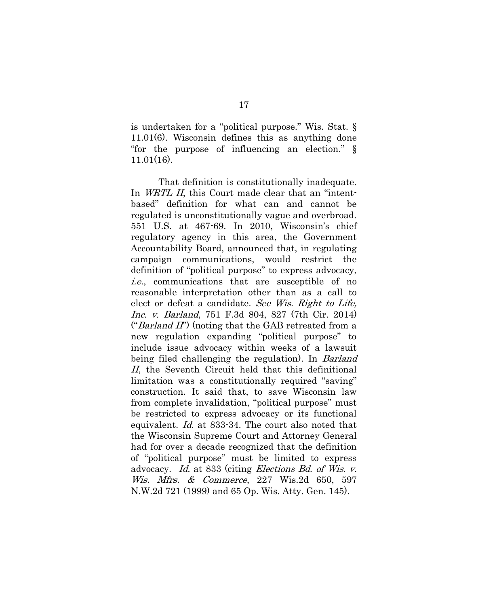is undertaken for a "political purpose." Wis. Stat. § 11.01(6). Wisconsin defines this as anything done "for the purpose of influencing an election." § 11.01(16).

That definition is constitutionally inadequate. In *WRTL II*, this Court made clear that an "intentbased" definition for what can and cannot be regulated is unconstitutionally vague and overbroad. 551 U.S. at 467-69. In 2010, Wisconsin's chief regulatory agency in this area, the Government Accountability Board, announced that, in regulating campaign communications, would restrict the definition of "political purpose" to express advocacy, i.e., communications that are susceptible of no reasonable interpretation other than as a call to elect or defeat a candidate. See Wis. Right to Life, Inc. v. Barland, 751 F.3d 804, 827 (7th Cir. 2014) ("*Barland II*") (noting that the GAB retreated from a new regulation expanding "political purpose" to include issue advocacy within weeks of a lawsuit being filed challenging the regulation). In Barland II, the Seventh Circuit held that this definitional limitation was a constitutionally required "saving" construction. It said that, to save Wisconsin law from complete invalidation, "political purpose" must be restricted to express advocacy or its functional equivalent. Id. at 833-34. The court also noted that the Wisconsin Supreme Court and Attorney General had for over a decade recognized that the definition of "political purpose" must be limited to express advocacy. Id. at 833 (citing Elections Bd. of Wis. v. Wis. Mfrs. & Commerce, 227 Wis.2d 650, 597 N.W.2d 721 (1999) and 65 Op. Wis. Atty. Gen. 145).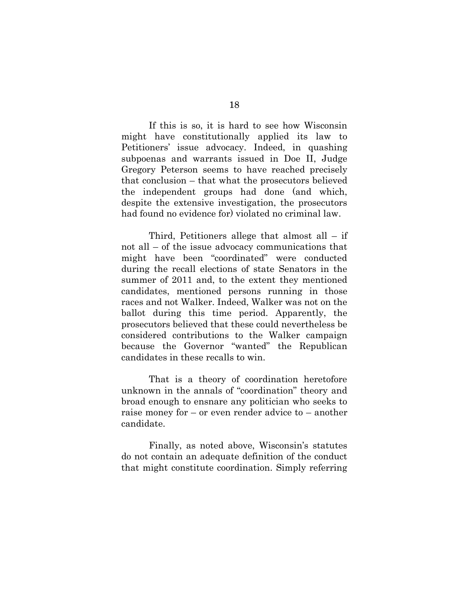If this is so, it is hard to see how Wisconsin might have constitutionally applied its law to Petitioners' issue advocacy. Indeed, in quashing subpoenas and warrants issued in Doe II, Judge Gregory Peterson seems to have reached precisely that conclusion – that what the prosecutors believed the independent groups had done (and which, despite the extensive investigation, the prosecutors had found no evidence for) violated no criminal law.

Third, Petitioners allege that almost all  $-$  if not all – of the issue advocacy communications that might have been "coordinated" were conducted during the recall elections of state Senators in the summer of 2011 and, to the extent they mentioned candidates, mentioned persons running in those races and not Walker. Indeed, Walker was not on the ballot during this time period. Apparently, the prosecutors believed that these could nevertheless be considered contributions to the Walker campaign because the Governor "wanted" the Republican candidates in these recalls to win.

That is a theory of coordination heretofore unknown in the annals of "coordination" theory and broad enough to ensnare any politician who seeks to raise money for – or even render advice to – another candidate.

Finally, as noted above, Wisconsin's statutes do not contain an adequate definition of the conduct that might constitute coordination. Simply referring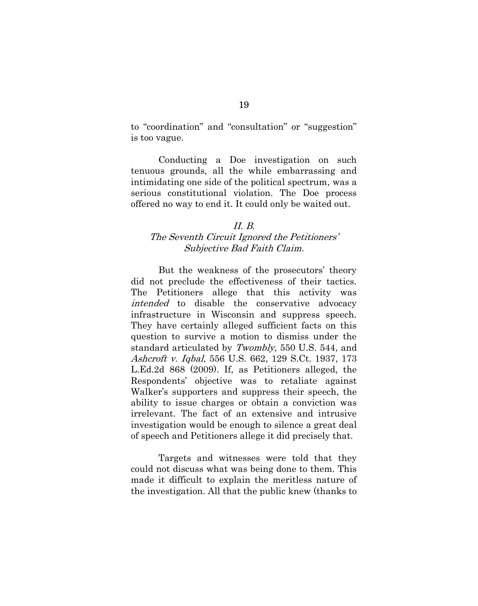to "coordination" and "consultation" or "suggestion" is too vague.

Conducting a Doe investigation on such tenuous grounds, all the while embarrassing and intimidating one side of the political spectrum, was a serious constitutional violation. The Doe process offered no way to end it. It could only be waited out.

## II. B. The Seventh Circuit Ignored the Petitioners' Subjective Bad Faith Claim.

But the weakness of the prosecutors' theory did not preclude the effectiveness of their tactics. The Petitioners allege that this activity was intended to disable the conservative advocacy infrastructure in Wisconsin and suppress speech. They have certainly alleged sufficient facts on this question to survive a motion to dismiss under the standard articulated by Twombly, 550 U.S. 544, and Ashcroft v. Iqbal, 556 U.S. 662, 129 S.Ct. 1937, 173 L.Ed.2d 868 (2009). If, as Petitioners alleged, the Respondents' objective was to retaliate against Walker's supporters and suppress their speech, the ability to issue charges or obtain a conviction was irrelevant. The fact of an extensive and intrusive investigation would be enough to silence a great deal of speech and Petitioners allege it did precisely that.

Targets and witnesses were told that they could not discuss what was being done to them. This made it difficult to explain the meritless nature of the investigation. All that the public knew (thanks to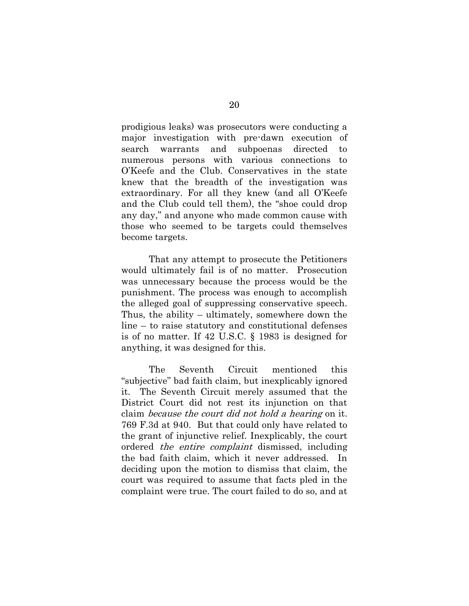prodigious leaks) was prosecutors were conducting a major investigation with pre-dawn execution of search warrants and subpoenas directed to numerous persons with various connections to O'Keefe and the Club. Conservatives in the state knew that the breadth of the investigation was extraordinary. For all they knew (and all O'Keefe and the Club could tell them), the "shoe could drop any day," and anyone who made common cause with those who seemed to be targets could themselves become targets.

That any attempt to prosecute the Petitioners would ultimately fail is of no matter. Prosecution was unnecessary because the process would be the punishment. The process was enough to accomplish the alleged goal of suppressing conservative speech. Thus, the ability – ultimately, somewhere down the line – to raise statutory and constitutional defenses is of no matter. If 42 U.S.C. § 1983 is designed for anything, it was designed for this.

The Seventh Circuit mentioned this "subjective" bad faith claim, but inexplicably ignored it. The Seventh Circuit merely assumed that the District Court did not rest its injunction on that claim because the court did not hold a hearing on it. 769 F.3d at 940. But that could only have related to the grant of injunctive relief. Inexplicably, the court ordered the entire complaint dismissed, including the bad faith claim, which it never addressed. In deciding upon the motion to dismiss that claim, the court was required to assume that facts pled in the complaint were true. The court failed to do so, and at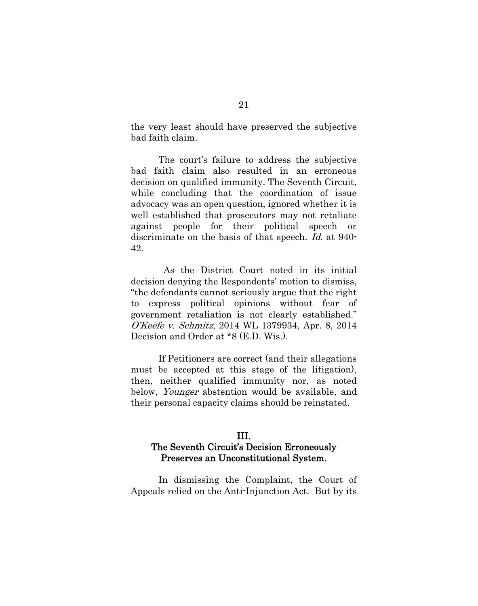the very least should have preserved the subjective bad faith claim.

The court's failure to address the subjective bad faith claim also resulted in an erroneous decision on qualified immunity. The Seventh Circuit, while concluding that the coordination of issue advocacy was an open question, ignored whether it is well established that prosecutors may not retaliate against people for their political speech or discriminate on the basis of that speech. *Id.* at 940-42.

 As the District Court noted in its initial decision denying the Respondents' motion to dismiss, "the defendants cannot seriously argue that the right to express political opinions without fear of government retaliation is not clearly established." O'Keefe v. Schmitz, 2014 WL 1379934, Apr. 8, 2014 Decision and Order at \*8 (E.D. Wis.).

If Petitioners are correct (and their allegations must be accepted at this stage of the litigation), then, neither qualified immunity nor, as noted below, *Younger* abstention would be available, and their personal capacity claims should be reinstated.

# III. The Seventh Circuit's Decision Erroneously Preserves an Unconstitutional System.

In dismissing the Complaint, the Court of Appeals relied on the Anti-Injunction Act. But by its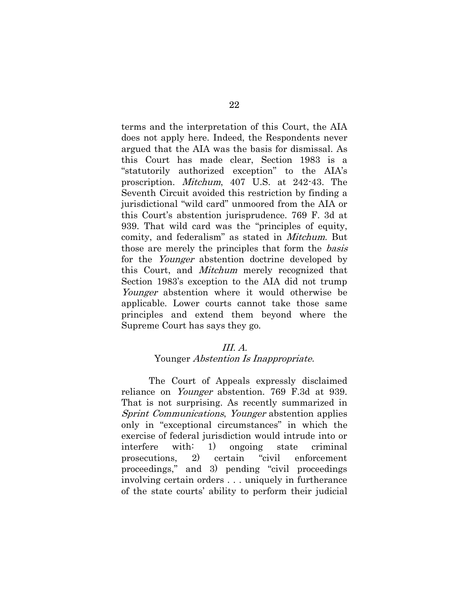terms and the interpretation of this Court, the AIA does not apply here. Indeed, the Respondents never argued that the AIA was the basis for dismissal. As this Court has made clear, Section 1983 is a "statutorily authorized exception" to the AIA's proscription. Mitchum, 407 U.S. at 242-43. The Seventh Circuit avoided this restriction by finding a jurisdictional "wild card" unmoored from the AIA or this Court's abstention jurisprudence. 769 F. 3d at 939. That wild card was the "principles of equity, comity, and federalism" as stated in Mitchum. But those are merely the principles that form the basis for the *Younger* abstention doctrine developed by this Court, and Mitchum merely recognized that Section 1983's exception to the AIA did not trump Younger abstention where it would otherwise be applicable. Lower courts cannot take those same principles and extend them beyond where the Supreme Court has says they go.

## III. A.

## Younger *Abstention Is Inappropriate.*

The Court of Appeals expressly disclaimed reliance on Younger abstention. 769 F.3d at 939. That is not surprising. As recently summarized in Sprint Communications, Younger abstention applies only in "exceptional circumstances" in which the exercise of federal jurisdiction would intrude into or interfere with: 1) ongoing state criminal prosecutions, 2) certain "civil enforcement proceedings," and 3) pending "civil proceedings involving certain orders . . . uniquely in furtherance of the state courts' ability to perform their judicial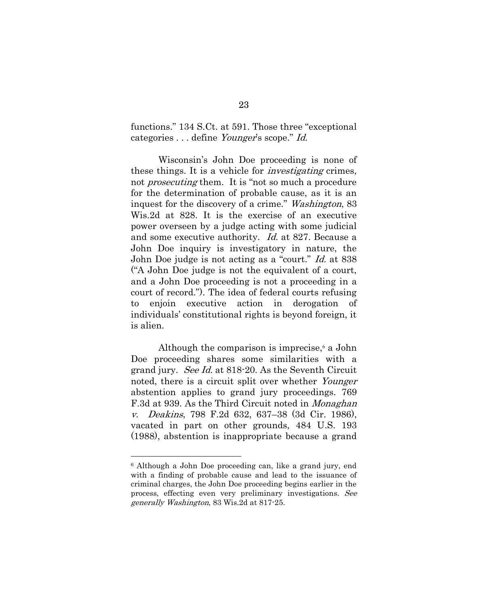functions." 134 S.Ct. at 591. Those three "exceptional categories . . . define *Younger's* scope." *Id.* 

Wisconsin's John Doe proceeding is none of these things. It is a vehicle for *investigating* crimes, not *prosecuting* them. It is "not so much a procedure for the determination of probable cause, as it is an inquest for the discovery of a crime." Washington, 83 Wis.2d at 828. It is the exercise of an executive power overseen by a judge acting with some judicial and some executive authority. Id. at 827. Because a John Doe inquiry is investigatory in nature, the John Doe judge is not acting as a "court." Id. at 838 ("A John Doe judge is not the equivalent of a court, and a John Doe proceeding is not a proceeding in a court of record."). The idea of federal courts refusing to enjoin executive action in derogation of individuals' constitutional rights is beyond foreign, it is alien.

Although the comparison is imprecise,<sup>6</sup> a John Doe proceeding shares some similarities with a grand jury. See Id. at 818-20. As the Seventh Circuit noted, there is a circuit split over whether Younger abstention applies to grand jury proceedings. 769 F.3d at 939. As the Third Circuit noted in Monaghan v. Deakins, 798 F.2d 632, 637–38 (3d Cir. 1986), vacated in part on other grounds, 484 U.S. 193 (1988), abstention is inappropriate because a grand

1

<sup>6</sup> Although a John Doe proceeding can, like a grand jury, end with a finding of probable cause and lead to the issuance of criminal charges, the John Doe proceeding begins earlier in the process, effecting even very preliminary investigations. See generally Washington, 83 Wis.2d at 817-25.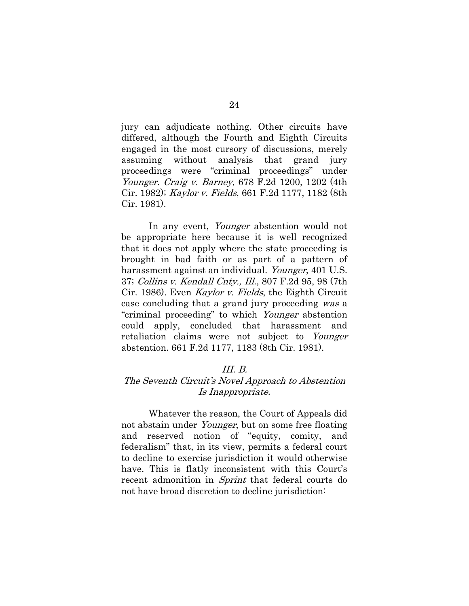jury can adjudicate nothing. Other circuits have differed, although the Fourth and Eighth Circuits engaged in the most cursory of discussions, merely assuming without analysis that grand jury proceedings were "criminal proceedings" under Younger. Craig v. Barney, 678 F.2d 1200, 1202 (4th Cir. 1982); Kaylor v. Fields, 661 F.2d 1177, 1182 (8th Cir. 1981).

In any event, *Younger* abstention would not be appropriate here because it is well recognized that it does not apply where the state proceeding is brought in bad faith or as part of a pattern of harassment against an individual. Younger, 401 U.S. 37; Collins v. Kendall Cnty., Ill., 807 F.2d 95, 98 (7th Cir. 1986). Even Kaylor v. Fields, the Eighth Circuit case concluding that a grand jury proceeding was a "criminal proceeding" to which Younger abstention could apply, concluded that harassment and retaliation claims were not subject to Younger abstention. 661 F.2d 1177, 1183 (8th Cir. 1981).

## III. B.

# The Seventh Circuit's Novel Approach to Abstention Is Inappropriate.

Whatever the reason, the Court of Appeals did not abstain under Younger, but on some free floating and reserved notion of "equity, comity, and federalism" that, in its view, permits a federal court to decline to exercise jurisdiction it would otherwise have. This is flatly inconsistent with this Court's recent admonition in *Sprint* that federal courts do not have broad discretion to decline jurisdiction: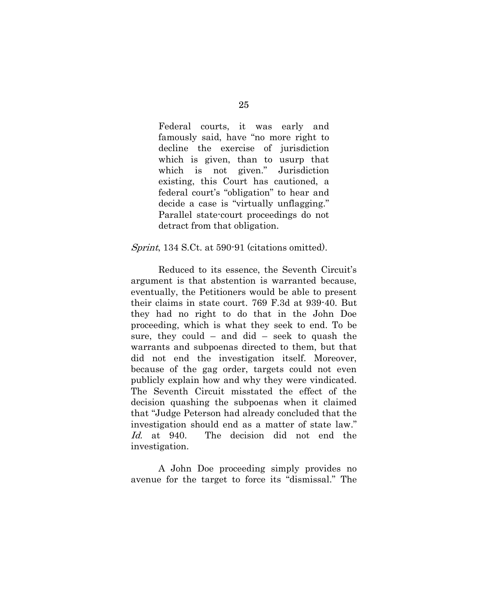Federal courts, it was early and famously said, have "no more right to decline the exercise of jurisdiction which is given, than to usurp that which is not given." Jurisdiction existing, this Court has cautioned, a federal court's "obligation" to hear and decide a case is "virtually unflagging." Parallel state-court proceedings do not detract from that obligation.

## Sprint, 134 S.Ct. at 590-91 (citations omitted).

Reduced to its essence, the Seventh Circuit's argument is that abstention is warranted because, eventually, the Petitioners would be able to present their claims in state court. 769 F.3d at 939-40. But they had no right to do that in the John Doe proceeding, which is what they seek to end. To be sure, they could – and did – seek to quash the warrants and subpoenas directed to them, but that did not end the investigation itself. Moreover, because of the gag order, targets could not even publicly explain how and why they were vindicated. The Seventh Circuit misstated the effect of the decision quashing the subpoenas when it claimed that "Judge Peterson had already concluded that the investigation should end as a matter of state law." Id. at 940. The decision did not end the investigation.

A John Doe proceeding simply provides no avenue for the target to force its "dismissal." The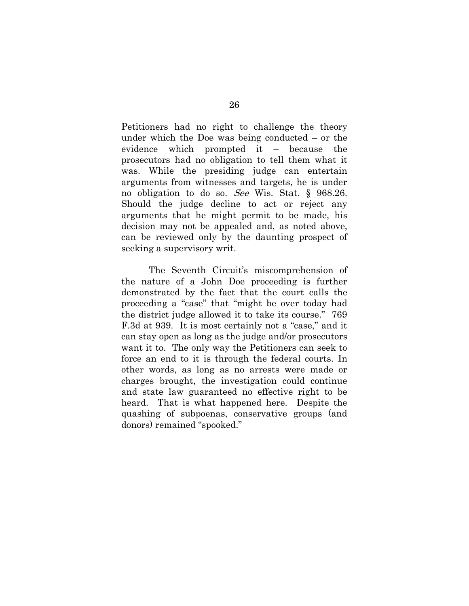Petitioners had no right to challenge the theory under which the Doe was being conducted – or the evidence which prompted it – because the prosecutors had no obligation to tell them what it was. While the presiding judge can entertain arguments from witnesses and targets, he is under no obligation to do so. See Wis. Stat. § 968.26. Should the judge decline to act or reject any arguments that he might permit to be made, his decision may not be appealed and, as noted above, can be reviewed only by the daunting prospect of seeking a supervisory writ.

The Seventh Circuit's miscomprehension of the nature of a John Doe proceeding is further demonstrated by the fact that the court calls the proceeding a "case" that "might be over today had the district judge allowed it to take its course." 769 F.3d at 939. It is most certainly not a "case," and it can stay open as long as the judge and/or prosecutors want it to. The only way the Petitioners can seek to force an end to it is through the federal courts. In other words, as long as no arrests were made or charges brought, the investigation could continue and state law guaranteed no effective right to be heard. That is what happened here. Despite the quashing of subpoenas, conservative groups (and donors) remained "spooked."